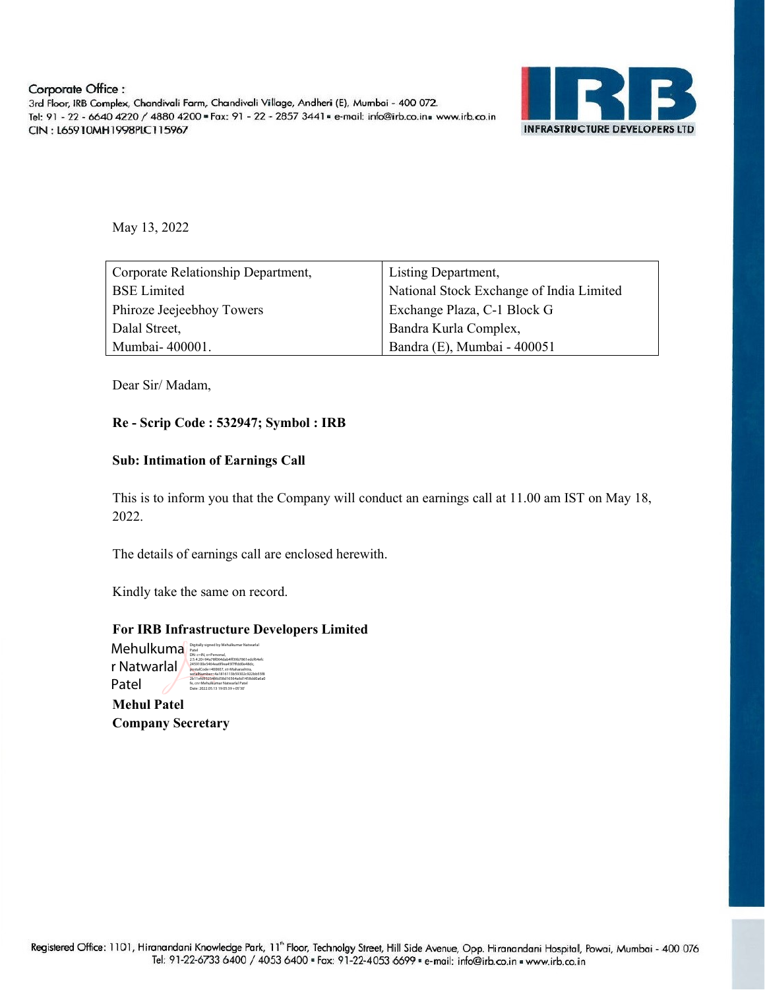

May 13, 2022

| Corporate Relationship Department,                       | Listing Department,                      |  |
|----------------------------------------------------------|------------------------------------------|--|
| <b>BSE</b> Limited                                       | National Stock Exchange of India Limited |  |
| Exchange Plaza, C-1 Block G<br>Phiroze Jeejeebhoy Towers |                                          |  |
| Dalal Street,                                            | Bandra Kurla Complex,                    |  |
| Mumbai-400001.                                           | Bandra (E), Mumbai - 400051              |  |

Dear Sir/ Madam,

## Re - Scrip Code : 532947; Symbol : IRB

## Sub: Intimation of Earnings Call

This is to inform you that the Company will conduct an earnings call at 11.00 am IST on May 18, 2022.

The details of earnings call are enclosed herewith.

Kindly take the same on record.

### For IRB Infrastructure Developers Limited

 $\mathsf{Mehulkuma}^\text{Digitally signed by Methulkumar Natural}$ r Natwarlal Patel DN: c=IN, o=Personal,

2.5.4.20=94a78f064dab4ff39b7861edcf64efc 2459100e5464ea6f9ea45f7ffdd0e48dc, postalCode=400607, st=Maharashtra, serialNumber=4a1816113b59302c922bb55f8 2b11efd9325486d58d16564a6d1458dd0a6a0 fe, cn=Mehulkumar Natwarlal Patel Date: 2022.05.13 19:05:39 +05'30'

Mehul Patel Company Secretary